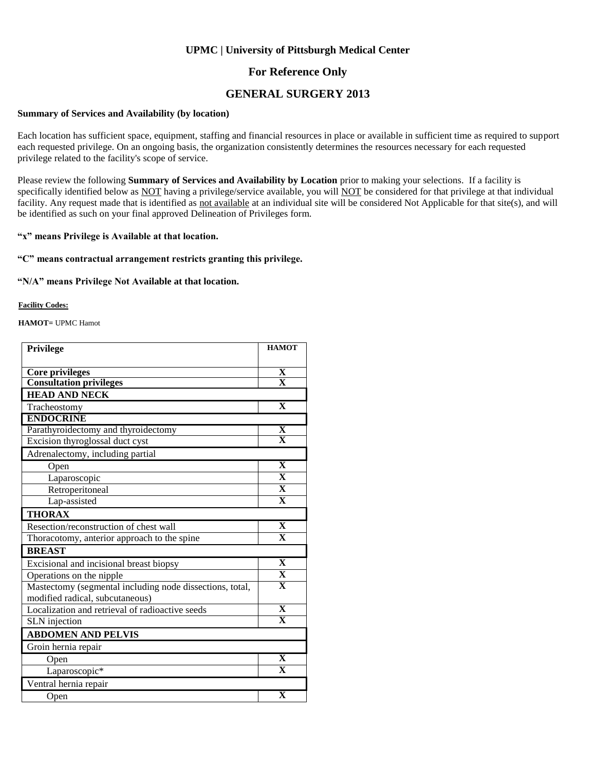#### **For Reference Only**

#### **GENERAL SURGERY 2013**

#### **Summary of Services and Availability (by location)**

Each location has sufficient space, equipment, staffing and financial resources in place or available in sufficient time as required to support each requested privilege. On an ongoing basis, the organization consistently determines the resources necessary for each requested privilege related to the facility's scope of service.

Please review the following **Summary of Services and Availability by Location** prior to making your selections. If a facility is specifically identified below as NOT having a privilege/service available, you will NOT be considered for that privilege at that individual facility. Any request made that is identified as not available at an individual site will be considered Not Applicable for that site(s), and will be identified as such on your final approved Delineation of Privileges form.

#### **"x" means Privilege is Available at that location.**

#### **"C" means contractual arrangement restricts granting this privilege.**

#### **"N/A" means Privilege Not Available at that location.**

#### **Facility Codes:**

**HAMOT=** UPMC Hamot

| <b>Privilege</b>                                         | <b>HAMOT</b>            |
|----------------------------------------------------------|-------------------------|
|                                                          |                         |
| <b>Core privileges</b>                                   | X                       |
| <b>Consultation privileges</b>                           | $\overline{\mathbf{x}}$ |
| <b>HEAD AND NECK</b>                                     |                         |
| Tracheostomy                                             | $\mathbf{X}$            |
| <b>ENDOCRINE</b>                                         |                         |
| Parathyroidectomy and thyroidectomy                      | X                       |
| Excision thyroglossal duct cyst                          | $\overline{\mathbf{X}}$ |
| Adrenalectomy, including partial                         |                         |
| Open                                                     | $\overline{\mathbf{X}}$ |
| Laparoscopic                                             | $\overline{\mathbf{X}}$ |
| Retroperitoneal                                          | $\overline{\mathbf{X}}$ |
| Lap-assisted                                             | $\overline{\mathbf{X}}$ |
| <b>THORAX</b>                                            |                         |
| Resection/reconstruction of chest wall                   | $\mathbf X$             |
| Thoracotomy, anterior approach to the spine              | $\overline{\mathbf{X}}$ |
| <b>BREAST</b>                                            |                         |
| Excisional and incisional breast biopsy                  | $\overline{\mathbf{X}}$ |
| Operations on the nipple                                 | $\mathbf X$             |
| Mastectomy (segmental including node dissections, total, | $\overline{\mathbf{X}}$ |
| modified radical, subcutaneous)                          |                         |
| Localization and retrieval of radioactive seeds          | $\overline{\mathbf{X}}$ |
| SLN injection                                            | $\overline{\mathbf{X}}$ |
| <b>ABDOMEN AND PELVIS</b>                                |                         |
| Groin hernia repair                                      |                         |
| Open                                                     | $\mathbf X$             |
| Laparoscopic*                                            | X                       |
| Ventral hernia repair                                    |                         |
| Open                                                     | $\mathbf X$             |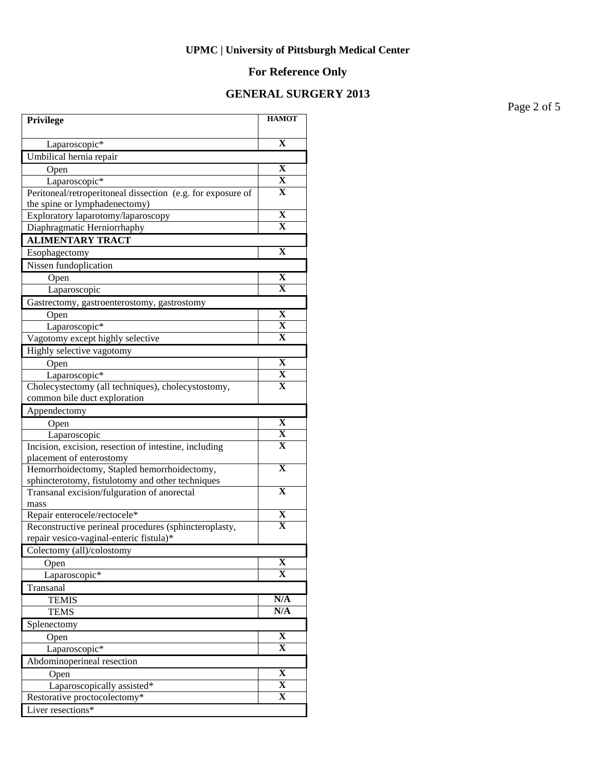# **For Reference Only**

### **GENERAL SURGERY 2013**

Page 2 of 5

| <b>Privilege</b>                                            | <b>HAMOT</b>            |
|-------------------------------------------------------------|-------------------------|
| Laparoscopic*                                               | $\mathbf X$             |
| Umbilical hernia repair                                     |                         |
| Open                                                        | X                       |
| Laparoscopic*                                               | X                       |
| Peritoneal/retroperitoneal dissection (e.g. for exposure of | X                       |
| the spine or lymphadenectomy)                               |                         |
| Exploratory laparotomy/laparoscopy                          | X                       |
| Diaphragmatic Herniorrhaphy                                 | $\overline{\mathbf{X}}$ |
| <b>ALIMENTARY TRACT</b>                                     |                         |
| Esophagectomy                                               | X                       |
| Nissen fundoplication                                       |                         |
| Open                                                        | X                       |
| Laparoscopic                                                | $\mathbf X$             |
| Gastrectomy, gastroenterostomy, gastrostomy                 |                         |
| Open                                                        | $\overline{\textbf{X}}$ |
| Laparoscopic*                                               | $\overline{\mathbf{X}}$ |
| Vagotomy except highly selective                            | X                       |
| Highly selective vagotomy                                   |                         |
| Open                                                        | $\overline{\mathbf{X}}$ |
| Laparoscopic*                                               | $\overline{\mathbf{X}}$ |
| Cholecystectomy (all techniques), cholecystostomy,          | $\mathbf X$             |
| common bile duct exploration                                |                         |
| Appendectomy                                                |                         |
| Open                                                        | X                       |
| Laparoscopic                                                | X                       |
| Incision, excision, resection of intestine, including       | $\overline{\mathbf{X}}$ |
| placement of enterostomy                                    |                         |
| Hemorrhoidectomy, Stapled hemorrhoidectomy,                 | $\mathbf X$             |
| sphincterotomy, fistulotomy and other techniques            | $\overline{\mathbf{X}}$ |
| Transanal excision/fulguration of anorectal                 |                         |
| mass<br>Repair enterocele/rectocele*                        | $\overline{\mathbf{X}}$ |
| Reconstructive perineal procedures (sphincteroplasty,       | $\overline{\mathbf{X}}$ |
| repair vesico-vaginal-enteric fistula)*                     |                         |
| Colectomy (all)/colostomy                                   |                         |
| Open                                                        | X                       |
| Laparoscopic*                                               | X                       |
| Transanal                                                   |                         |
| <b>TEMIS</b>                                                | N/A                     |
| <b>TEMS</b>                                                 | N/A                     |
| Splenectomy                                                 |                         |
| Open                                                        | X                       |
| Laparoscopic*                                               | X                       |
| Abdominoperineal resection                                  |                         |
| Open                                                        | $\overline{\mathbf{X}}$ |
| Laparoscopically assisted*                                  | X                       |
| Restorative proctocolectomy*                                | $\overline{\mathbf{X}}$ |
| Liver resections*                                           |                         |
|                                                             |                         |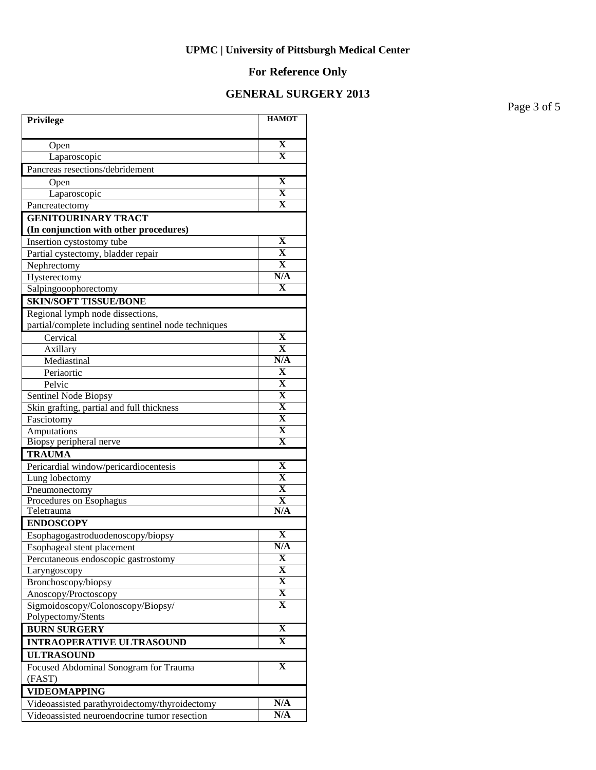# **For Reference Only**

### **GENERAL SURGERY 2013**

Page 3 of 5

| Privilege                                                            | <b>HAMOT</b>                                       |
|----------------------------------------------------------------------|----------------------------------------------------|
| Open                                                                 | $\mathbf X$                                        |
| Laparoscopic                                                         | $\mathbf{X}$                                       |
| Pancreas resections/debridement                                      |                                                    |
| Open                                                                 | X                                                  |
| Laparoscopic                                                         | $\overline{\mathbf{X}}$                            |
| Pancreatectomy                                                       | $\overline{\mathbf{X}}$                            |
| <b>GENITOURINARY TRACT</b><br>(In conjunction with other procedures) |                                                    |
| Insertion cystostomy tube                                            | X                                                  |
| Partial cystectomy, bladder repair                                   | $\mathbf X$                                        |
| Nephrectomy                                                          | $\mathbf X$                                        |
| Hysterectomy                                                         | N/A                                                |
| Salpingooophorectomy                                                 | $\mathbf X$                                        |
| <b>SKIN/SOFT TISSUE/BONE</b>                                         |                                                    |
| Regional lymph node dissections,                                     |                                                    |
| partial/complete including sentinel node techniques                  |                                                    |
| Cervical                                                             | $\mathbf X$                                        |
| Axillary                                                             | $\overline{\mathbf{X}}$                            |
| Mediastinal                                                          | N/A                                                |
| Periaortic                                                           | $\mathbf{X}$                                       |
| Pelvic                                                               | $\overline{\mathbf{X}}$                            |
| Sentinel Node Biopsy                                                 | $\overline{\mathbf{X}}$                            |
| Skin grafting, partial and full thickness                            | $\overline{\mathbf{X}}$                            |
| Fasciotomy                                                           | $\overline{\mathbf{X}}$                            |
| Amputations                                                          | $\overline{\mathbf{X}}$                            |
| Biopsy peripheral nerve                                              | $\overline{\mathbf{X}}$                            |
| <b>TRAUMA</b>                                                        |                                                    |
| Pericardial window/pericardiocentesis                                | $\mathbf X$                                        |
| Lung lobectomy                                                       | $\overline{\textbf{X}}$                            |
| Pneumonectomy                                                        | $\overline{\textbf{X}}$                            |
| <b>Procedures on Esophagus</b>                                       | X                                                  |
| Teletrauma                                                           | N/A                                                |
| <b>ENDOSCOPY</b>                                                     |                                                    |
| Esophagogastroduodenoscopy/biopsy                                    | X                                                  |
| Esophageal stent placement                                           | N/A                                                |
| Percutaneous endoscopic gastrostomy                                  | $\overline{\mathbf{X}}$                            |
| Laryngoscopy                                                         | $\overline{\mathbf{X}}$                            |
| Bronchoscopy/biopsy                                                  | $\overline{\mathbf{X}}$                            |
| Anoscopy/Proctoscopy                                                 | $\overline{\mathbf{X}}$<br>$\overline{\mathbf{X}}$ |
| Sigmoidoscopy/Colonoscopy/Biopsy/<br>Polypectomy/Stents              |                                                    |
| <b>BURN SURGERY</b>                                                  | $\overline{\mathbf{X}}$                            |
| <b>INTRAOPERATIVE ULTRASOUND</b>                                     | $\mathbf X$                                        |
| <b>ULTRASOUND</b>                                                    |                                                    |
| Focused Abdominal Sonogram for Trauma                                | X                                                  |
| (FAST)                                                               |                                                    |
| <b>VIDEOMAPPING</b>                                                  |                                                    |
| Videoassisted parathyroidectomy/thyroidectomy                        | N/A                                                |
| Videoassisted neuroendocrine tumor resection                         | N/A                                                |
|                                                                      |                                                    |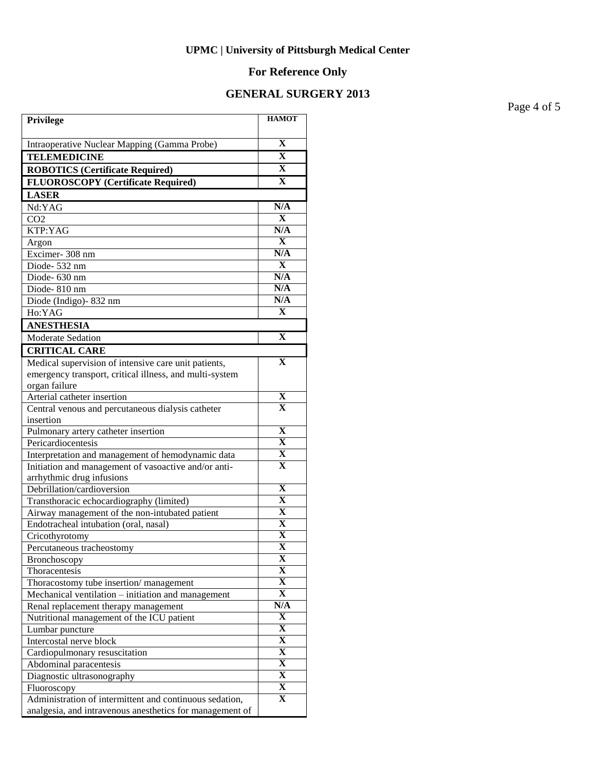# **For Reference Only**

### **GENERAL SURGERY 2013**

Page 4 of 5

| Privilege                                                                                    | НАМОТ                        |
|----------------------------------------------------------------------------------------------|------------------------------|
| Intraoperative Nuclear Mapping (Gamma Probe)                                                 | $\overline{\mathbf{X}}$      |
| <b>TELEMEDICINE</b>                                                                          | $\overline{\mathbf{X}}$      |
|                                                                                              | X                            |
| <b>ROBOTICS (Certificate Required)</b>                                                       | $\overline{\mathbf{X}}$      |
| <b>FLUOROSCOPY</b> (Certificate Required)                                                    |                              |
| <b>LASER</b><br>Nd:YAG                                                                       | N/A                          |
| CO <sub>2</sub>                                                                              | $\mathbf{X}$                 |
| KTP:YAG                                                                                      | N/A                          |
| Argon                                                                                        | $\overline{\mathbf{X}}$      |
| Excimer-308 nm                                                                               | N/A                          |
| Diode-532 nm                                                                                 | $\overline{\mathbf{X}}$      |
| Diode- 630 nm                                                                                | N/A                          |
| Diode-810 nm                                                                                 | N/A                          |
| Diode (Indigo)-832 nm                                                                        | N/A                          |
| Ho:YAG                                                                                       | $\mathbf{X}$                 |
| <b>ANESTHESIA</b>                                                                            |                              |
| Moderate Sedation                                                                            | $\mathbf X$                  |
| <b>CRITICAL CARE</b>                                                                         |                              |
| Medical supervision of intensive care unit patients,                                         | $\mathbf X$                  |
| emergency transport, critical illness, and multi-system                                      |                              |
| organ failure                                                                                |                              |
| Arterial catheter insertion                                                                  | X                            |
| Central venous and percutaneous dialysis catheter                                            | $\mathbf X$                  |
| insertion                                                                                    |                              |
| Pulmonary artery catheter insertion                                                          | X                            |
| Pericardiocentesis                                                                           | $\mathbf X$                  |
| Interpretation and management of hemodynamic data                                            | X                            |
| Initiation and management of vasoactive and/or anti-                                         | $\mathbf X$                  |
| arrhythmic drug infusions                                                                    |                              |
| Debrillation/cardioversion                                                                   | X                            |
| Transthoracic echocardiography (limited)                                                     | X                            |
| Airway management of the non-intubated patient                                               | X                            |
| Endotracheal intubation (oral, nasal)                                                        | $\overline{\textbf{X}}$      |
| Cricothyrotomy                                                                               | $\overline{\mathbf{X}}$      |
| Percutaneous tracheostomy                                                                    | $\overline{\mathbf{X}}$      |
| Bronchoscopy                                                                                 | X                            |
| Thoracentesis                                                                                | X<br>$\overline{\mathbf{X}}$ |
| Thoracostomy tube insertion/management<br>Mechanical ventilation - initiation and management | $\overline{\mathbf{X}}$      |
| Renal replacement therapy management                                                         | N/A                          |
| Nutritional management of the ICU patient                                                    | $\overline{\mathbf{X}}$      |
| Lumbar puncture                                                                              | $\overline{\mathbf{X}}$      |
| Intercostal nerve block                                                                      | $\overline{\mathbf{X}}$      |
| Cardiopulmonary resuscitation                                                                | $\overline{\mathbf{X}}$      |
| Abdominal paracentesis                                                                       | $\overline{\mathbf{X}}$      |
| Diagnostic ultrasonography                                                                   | $\overline{\mathbf{X}}$      |
| Fluoroscopy                                                                                  | $\overline{\mathbf{X}}$      |
| Administration of intermittent and continuous sedation,                                      | X                            |
| analgesia, and intravenous anesthetics for management of                                     |                              |